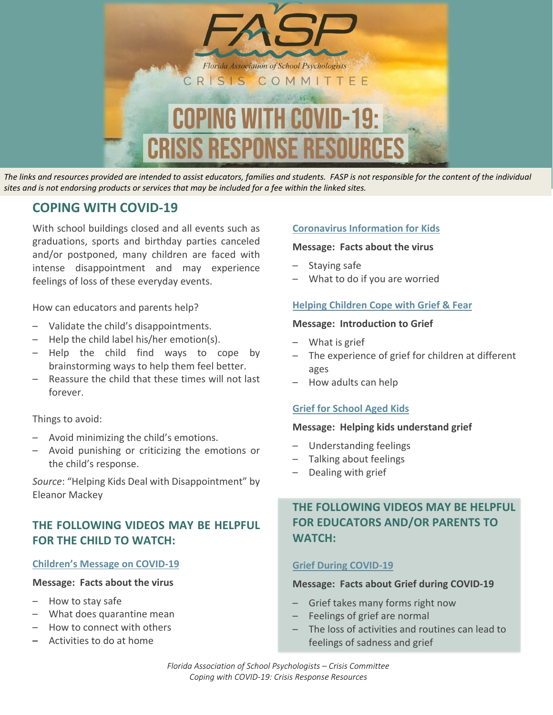

*The links and resources provided are intended to assist educators, families and students. FASP is not responsible for the content of the individual sites and is not endorsing products or services that may be included for a fee within the linked sites.*

# **COPING WITH COVID-19**

With school buildings closed and all events such as graduations, sports and birthday parties canceled and/or postponed, many children are faced with intense disappointment and may experience feelings of loss of these everyday events.

How can educators and parents help?

- Validate the child's disappointments.
- Help the child label his/her emotion(s).
- Help the child find ways to cope by brainstorming ways to help them feel better.
- Reassure the child that these times will not last forever.

Things to avoid:

- Avoid minimizing the child's emotions.
- Avoid punishing or criticizing the emotions or the child's response.

*Source*: "Helping Kids Deal with Disappointment" by Eleanor Mackey

### **THE FOLLOWING VIDEOS MAY BE HELPFUL FOR THE CHILD TO WATCH:**

#### **[Children's Message on COVID-19](https://youtu.be/Ogu0vjv-E44)**

#### **Message: Facts about the virus**

- How to stay safe
- What does quarantine mean
- How to connect with others
- Activities to do at home

#### **[Coronavirus Information for Kids](https://youtu.be/kiVpWZBXLug)**

#### **Message: Facts about the virus**

- Staying safe
- What to do if you are worried

#### **[Helping Children Cope with Grief & Fear](https://youtu.be/IkB2zxpHIDo)**

#### **Message: Introduction to Grief**

- What is grief
- The experience of grief for children at different ages
- How adults can help

#### **[Grief for School Aged Kids](https://youtu.be/L0WzSL2Vr2c)**

#### **Message: Helping kids understand grief**

- Understanding feelings
- Talking about feelings
- Dealing with grief

# **THE FOLLOWING VIDEOS MAY BE HELPFUL FOR EDUCATORS AND/OR PARENTS TO WATCH:**

#### **[Grief During COVID-19](https://www.youtube.com/watch?v=nQJoaje_5e4)**

#### **Message: Facts about Grief during COVID-19**

- Grief takes many forms right now
- Feelings of grief are normal
- The loss of activities and routines can lead to feelings of sadness and grief

*Florida Association of School Psychologists – Crisis Committee Coping with COVID-19: Crisis Response Resources*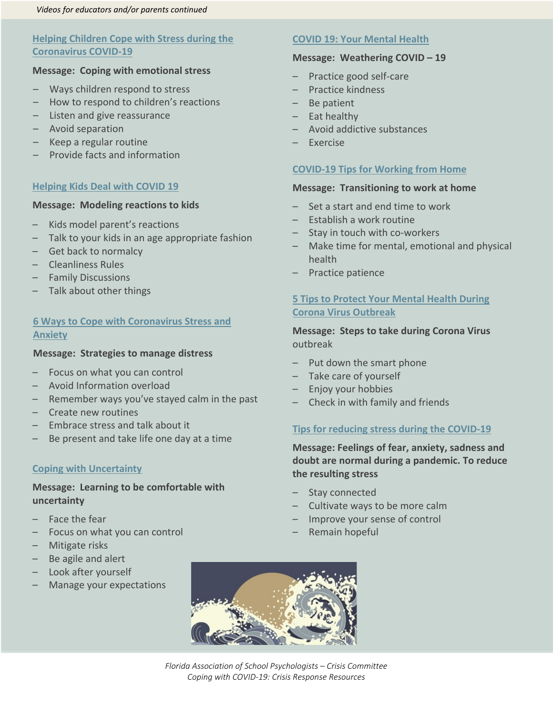#### **Helping Children Cope with Stress during the [Coronavirus COVID-19](https://www.youtube.com/watch?v=oyH2TJ7VTGY)**

#### **Message: Coping with emotional stress**

- Ways children respond to stress
- How to respond to children's reactions
- Listen and give reassurance
- Avoid separation
- Keep a regular routine
- Provide facts and information

#### **[Helping Kids Deal with COVID 19](https://www.youtube.com/watch?v=1j1yDZKR3s4)**

#### **Message: Modeling reactions to kids**

- Kids model parent's reactions
- Talk to your kids in an age appropriate fashion
- Get back to normalcy
- Cleanliness Rules
- Family Discussions
- Talk about other things

#### **[6 Ways to Cope with Coronavirus Stress and](https://www.youtube.com/watch?v=a5WgPKHxYFE)  [Anxiety](https://www.youtube.com/watch?v=a5WgPKHxYFE)**

#### **Message: Strategies to manage distress**

- Focus on what you can control
- Avoid Information overload
- Remember ways you've stayed calm in the past
- Create new routines
- Embrace stress and talk about it
- Be present and take life one day at a time

#### **[Coping with Uncertainty](https://youtu.be/S3CU2kOBt3s)**

#### **Message: Learning to be comfortable with uncertainty**

- Face the fear
- Focus on what you can control
- Mitigate risks
- Be agile and alert
- Look after yourself
- Manage your expectations

#### **[COVID 19: Your Mental Health](https://youtu.be/lqtgW_NFiAg)**

#### **Message: Weathering COVID – 19**

- Practice good self-care
- Practice kindness
- Be patient
- Eat healthy
- Avoid addictive substances
- Exercise

#### **[COVID-19 Tips for Working from Home](https://www.youtube.com/watch?v=fYsnJmaqy2c&feature=emb_rel_pause)**

#### **Message: Transitioning to work at home**

- Set a start and end time to work
- Establish a work routine
- Stay in touch with co-workers
- Make time for mental, emotional and physical health
- Practice patience

#### **[5 Tips to Protect Your Mental Health During](https://youtu.be/2I943-gP904)  [Corona Virus Outbreak](https://youtu.be/2I943-gP904)**

**Message: Steps to take during Corona Virus**  outbreak

- Put down the smart phone
- Take care of yourself
- Enjoy your hobbies
- Check in with family and friends

#### **[Tips for reducing stress during the COVID-19](https://youtu.be/kL0MmlMII6A)**

**Message: Feelings of fear, anxiety, sadness and doubt are normal during a pandemic. To reduce the resulting stress**

- Stay connected
- Cultivate ways to be more calm
- Improve your sense of control
- Remain hopeful



*Florida Association of School Psychologists – Crisis Committee Coping with COVID-19: Crisis Response Resources*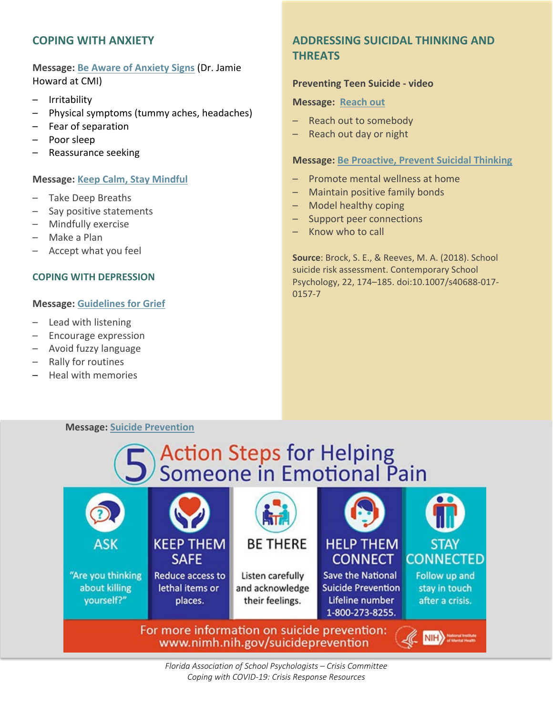#### **COPING WITH ANXIETY**

**Message: [Be Aware of Anxiety Signs](https://youtu.be/ubDvUAFD6ps)** (Dr. Jamie Howard at CMI)

- **Irritability**
- Physical symptoms (tummy aches, headaches)
- Fear of separation
- Poor sleep
- Reassurance seeking

#### **Message: [Keep Calm, Stay Mindful](https://childmind.org/article/anxious-stomach-aches-and-headaches/)**

- Take Deep Breaths
- Say positive statements
- Mindfully exercise
- Make a Plan
- Accept what you feel

#### **COPING WITH DEPRESSION**

#### **Message: [Guidelines for Grief](https://childmind.org/guide/helping-children-cope-grief/)**

- Lead with listening
- Encourage expression
- Avoid fuzzy language
- Rally for routines
- Heal with memories

## **ADDRESSING SUICIDAL THINKING AND THREATS**

#### **Preventing Teen Suicide - video**

#### **Message: [Reach out](https://www.youtube.com/watch?v=TIeBxeOxFyE)**

- Reach out to somebody
- Reach out day or night

#### **Message: [Be Proactive, Prevent Suicidal Thinking](https://www.nasponline.org/x55112.xml)**

- Promote mental wellness at home
- Maintain positive family bonds
- Model healthy coping
- Support peer connections
- Know who to call

**Source**: Brock, S. E., & Reeves, M. A. (2018). School suicide risk assessment. Contemporary School Psychology, 22, 174–185. doi:10.1007/s40688-017- 0157-7

#### **Message: [Suicide Prevention](https://www.nimh.nih.gov/health/topics/suicide-prevention/index.shtml)**

# **Action Steps for Helping<br>Someone in Emotional Pain**



*Florida Association of School Psychologists – Crisis Committee Coping with COVID-19: Crisis Response Resources*